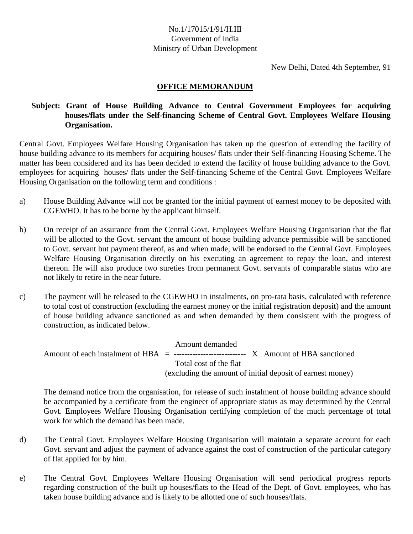## No.1/17015/1/91/H.III Government of India Ministry of Urban Development

New Delhi, Dated 4th September, 91

## **OFFICE MEMORANDUM**

## **Subject: Grant of House Building Advance to Central Government Employees for acquiring houses/flats under the Self-financing Scheme of Central Govt. Employees Welfare Housing Organisation.**

Central Govt. Employees Welfare Housing Organisation has taken up the question of extending the facility of house building advance to its members for acquiring houses/ flats under their Self-financing Housing Scheme. The matter has been considered and its has been decided to extend the facility of house building advance to the Govt. employees for acquiring houses/ flats under the Self-financing Scheme of the Central Govt. Employees Welfare Housing Organisation on the following term and conditions :

- a) House Building Advance will not be granted for the initial payment of earnest money to be deposited with CGEWHO. It has to be borne by the applicant himself.
- b) On receipt of an assurance from the Central Govt. Employees Welfare Housing Organisation that the flat will be allotted to the Govt. servant the amount of house building advance permissible will be sanctioned to Govt. servant but payment thereof, as and when made, will be endorsed to the Central Govt. Employees Welfare Housing Organisation directly on his executing an agreement to repay the loan, and interest thereon. He will also produce two sureties from permanent Govt. servants of comparable status who are not likely to retire in the near future.
- c) The payment will be released to the CGEWHO in instalments, on pro-rata basis, calculated with reference to total cost of construction (excluding the earnest money or the initial registration deposit) and the amount of house building advance sanctioned as and when demanded by them consistent with the progress of construction, as indicated below.

 Amount demanded Amount of each instalment of  $HBA = \dots$ ----------------------------- X Amount of HBA sanctioned Total cost of the flat (excluding the amount of initial deposit of earnest money)

The demand notice from the organisation, for release of such instalment of house building advance should be accompanied by a certificate from the engineer of appropriate status as may determined by the Central Govt. Employees Welfare Housing Organisation certifying completion of the much percentage of total work for which the demand has been made.

- d) The Central Govt. Employees Welfare Housing Organisation will maintain a separate account for each Govt. servant and adjust the payment of advance against the cost of construction of the particular category of flat applied for by him.
- e) The Central Govt. Employees Welfare Housing Organisation will send periodical progress reports regarding construction of the built up houses/flats to the Head of the Dept. of Govt. employees, who has taken house building advance and is likely to be allotted one of such houses/flats.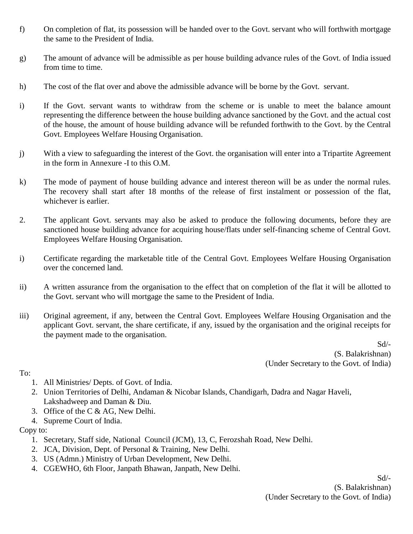- f) On completion of flat, its possession will be handed over to the Govt. servant who will forthwith mortgage the same to the President of India.
- g) The amount of advance will be admissible as per house building advance rules of the Govt. of India issued from time to time.
- h) The cost of the flat over and above the admissible advance will be borne by the Govt. servant.
- i) If the Govt. servant wants to withdraw from the scheme or is unable to meet the balance amount representing the difference between the house building advance sanctioned by the Govt. and the actual cost of the house, the amount of house building advance will be refunded forthwith to the Govt. by the Central Govt. Employees Welfare Housing Organisation.
- j) With a view to safeguarding the interest of the Govt. the organisation will enter into a Tripartite Agreement in the form in Annexure -I to this O.M.
- k) The mode of payment of house building advance and interest thereon will be as under the normal rules. The recovery shall start after 18 months of the release of first instalment or possession of the flat, whichever is earlier.
- 2. The applicant Govt. servants may also be asked to produce the following documents, before they are sanctioned house building advance for acquiring house/flats under self-financing scheme of Central Govt. Employees Welfare Housing Organisation.
- i) Certificate regarding the marketable title of the Central Govt. Employees Welfare Housing Organisation over the concerned land.
- ii) A written assurance from the organisation to the effect that on completion of the flat it will be allotted to the Govt. servant who will mortgage the same to the President of India.
- iii) Original agreement, if any, between the Central Govt. Employees Welfare Housing Organisation and the applicant Govt. servant, the share certificate, if any, issued by the organisation and the original receipts for the payment made to the organisation.

Sd/- (S. Balakrishnan) (Under Secretary to the Govt. of India)

To:

- 1. All Ministries/ Depts. of Govt. of India.
- 2. Union Territories of Delhi, Andaman & Nicobar Islands, Chandigarh, Dadra and Nagar Haveli, Lakshadweep and Daman & Diu.
- 3. Office of the C & AG, New Delhi.
- 4. Supreme Court of India.

Copy to:

- 1. Secretary, Staff side, National Council (JCM), 13, C, Ferozshah Road, New Delhi.
- 2. JCA, Division, Dept. of Personal & Training, New Delhi.
- 3. US (Admn.) Ministry of Urban Development, New Delhi.
- 4. CGEWHO, 6th Floor, Janpath Bhawan, Janpath, New Delhi.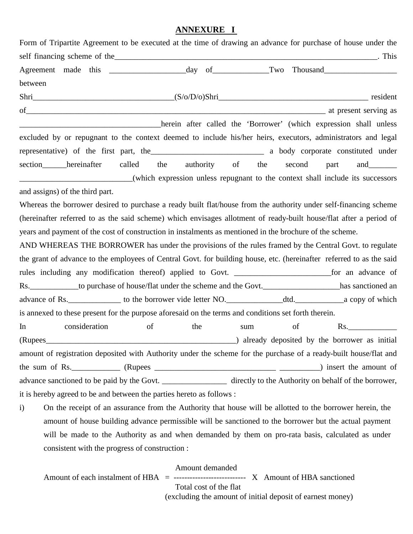## **ANNEXURE I**

| Form of Tripartite Agreement to be executed at the time of drawing an advance for purchase of house under the             |                                                                   |
|---------------------------------------------------------------------------------------------------------------------------|-------------------------------------------------------------------|
|                                                                                                                           |                                                                   |
|                                                                                                                           |                                                                   |
| between                                                                                                                   |                                                                   |
|                                                                                                                           |                                                                   |
| of a t present serving as                                                                                                 |                                                                   |
|                                                                                                                           | herein after called the 'Borrower' (which expression shall unless |
| excluded by or repugnant to the context deemed to include his/her heirs, executors, administrators and legal              |                                                                   |
|                                                                                                                           |                                                                   |
| section hereinafter<br>called the authority of                                                                            | the<br>second<br>part<br>and $\qquad \qquad$                      |
| (which expression unless repugnant to the context shall include its successors                                            |                                                                   |
| and assigns) of the third part.                                                                                           |                                                                   |
| Whereas the borrower desired to purchase a ready built flat/house from the authority under self-financing scheme          |                                                                   |
| (hereinafter referred to as the said scheme) which envisages allotment of ready-built house/flat after a period of        |                                                                   |
| years and payment of the cost of construction in instalments as mentioned in the brochure of the scheme.                  |                                                                   |
| AND WHEREAS THE BORROWER has under the provisions of the rules framed by the Central Govt. to regulate                    |                                                                   |
| the grant of advance to the employees of Central Govt. for building house, etc. (hereinafter referred to as the said      |                                                                   |
|                                                                                                                           |                                                                   |
| Rs. ______________to purchase of house/flat under the scheme and the Govt. _____________________has sanctioned an         |                                                                   |
|                                                                                                                           |                                                                   |
| is annexed to these present for the purpose aforesaid on the terms and conditions set forth therein.                      |                                                                   |
| consideration<br>of<br>the<br>In<br>sum                                                                                   | of<br>Rs.                                                         |
|                                                                                                                           |                                                                   |
| amount of registration deposited with Authority under the scheme for the purchase of a ready-built house/flat and         |                                                                   |
|                                                                                                                           |                                                                   |
| advance sanctioned to be paid by the Govt. __________________ directly to the Authority on behalf of the borrower,        |                                                                   |
| it is hereby agreed to be and between the parties hereto as follows :                                                     |                                                                   |
| On the receipt of an assurance from the Authority that house will be allotted to the borrower herein, the<br>$\mathbf{i}$ |                                                                   |
| amount of house building advance permissible will be sanctioned to the borrower but the actual payment                    |                                                                   |

will be made to the Authority as and when demanded by them on pro-rata basis, calculated as under consistent with the progress of construction :

Amount demanded

Amount of each instalment of  $HBA =$  ------------------------------ X Amount of HBA sanctioned

 Total cost of the flat (excluding the amount of initial deposit of earnest money)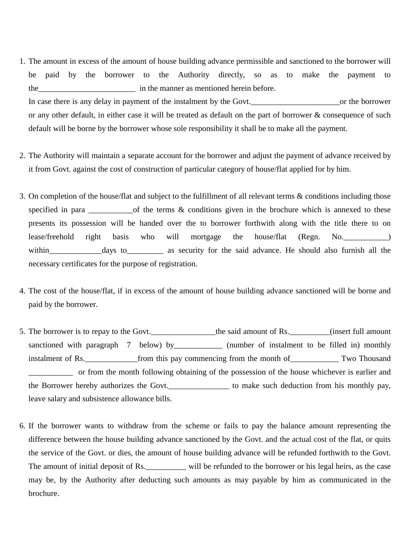- 1. The amount in excess of the amount of house building advance permissible and sanctioned to the borrower will be paid by the borrower to the Authority directly, so as to make the payment to the in the manner as mentioned herein before. In case there is any delay in payment of the instalment by the Govt.\_\_\_\_\_\_\_\_\_\_\_\_\_\_\_\_\_\_\_\_\_\_or the borrower or any other default, in either case it will be treated as default on the part of borrower & consequence of such default will be borne by the borrower whose sole responsibility it shall be to make all the payment.
- 2. The Authority will maintain a separate account for the borrower and adjust the payment of advance received by it from Govt. against the cost of construction of particular category of house/flat applied for by him.
- 3. On completion of the house/flat and subject to the fulfillment of all relevant terms & conditions including those specified in para  $\frac{1}{\sqrt{1-\frac{1}{\sqrt{1-\frac{1}{\sqrt{1-\frac{1}{\sqrt{1-\frac{1}{\sqrt{1-\frac{1}{\sqrt{1-\frac{1}{\sqrt{1-\frac{1}{\sqrt{1-\frac{1}{\sqrt{1-\frac{1}{\sqrt{1-\frac{1}{\sqrt{1-\frac{1}{\sqrt{1-\frac{1}{\sqrt{1-\frac{1}{\sqrt{1-\frac{1}{\sqrt{1-\frac{1}{\sqrt{1-\frac{1}{\sqrt{1-\frac{1}{\sqrt{1-\frac{1}{\sqrt{1-\frac{1}{\sqrt{1-\frac{1}{\sqrt{1-\frac{1}{\sqrt{1-\frac{1$ presents its possession will be handed over the to borrower forthwith along with the title there to on lease/freehold right basis who will mortgage the house/flat (Regn. No.\_\_\_\_\_\_\_\_\_\_\_) within days to as security for the said advance. He should also furnish all the necessary certificates for the purpose of registration.
- 4. The cost of the house/flat, if in excess of the amount of house building advance sanctioned will be borne and paid by the borrower.
- 5. The borrower is to repay to the Govt. <br>the said amount of Rs. (insert full amount sanctioned with paragraph 7 below) by\_\_\_\_\_\_\_\_\_\_\_\_\_ (number of instalment to be filled in) monthly instalment of Rs.\_\_\_\_\_\_\_\_\_\_\_\_\_from this pay commencing from the month of\_\_\_\_\_\_\_\_\_\_\_\_ Two Thousand \_\_\_\_\_\_\_\_\_\_\_ or from the month following obtaining of the possession of the house whichever is earlier and the Borrower hereby authorizes the Govt.\_\_\_\_\_\_\_\_\_\_\_\_\_\_\_ to make such deduction from his monthly pay, leave salary and subsistence allowance bills.
- 6. If the borrower wants to withdraw from the scheme or fails to pay the balance amount representing the difference between the house building advance sanctioned by the Govt. and the actual cost of the flat, or quits the service of the Govt. or dies, the amount of house building advance will be refunded forthwith to the Govt. The amount of initial deposit of Rs.<br>\_\_\_\_\_\_\_\_\_\_\_\_ will be refunded to the borrower or his legal heirs, as the case may be, by the Authority after deducting such amounts as may payable by him as communicated in the brochure.